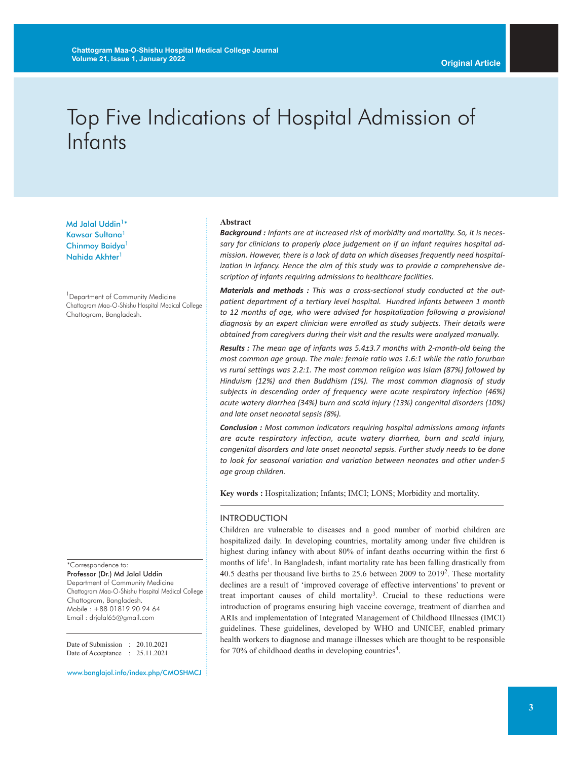# Top Five Indications of Hospital Admission of Infants

Md Jalal Uddin<sup>1\*</sup> Kawsar Sultana<sup>1</sup> Chinmoy Baidya<sup>1</sup> Nahida Akhter<sup>1</sup>

<sup>1</sup> Department of Community Medicine Chattogram Maa-O-Shishu Hospital Medical College Chattogram, Bangladesh.

\*Correspondence to: Professor (Dr.) Md Jalal Uddin Department of Community Medicine Chattogram Maa-O-Shishu Hospital Medical College Chattogram, Bangladesh. Mobile : +88 01819 90 94 64 Email : drjalal65@gmail.com

Date of Submission : 20.10.2021 Date of Acceptance : 25.11.2021

www.banglajol.info/index.php/CMOSHMCJ

#### **Abstract**

*Background : Infants are at increased risk of morbidity and mortality. So, it is necessary for clinicians to properly place judgement on if an infant requires hospital admission. However, there is a lack of data on which diseases frequently need hospitalization in infancy. Hence the aim of this study was to provide a comprehensive description of infants requiring admissions to healthcare facilities.*

*Materials and methods : This was a cross-sectional study conducted at the outpatient department of a tertiary level hospital. Hundred infants between 1 month to 12 months of age, who were advised for hospitalization following a provisional diagnosis by an expert clinician were enrolled as study subjects. Their details were obtained from caregivers during their visit and the results were analyzed manually.*

*Results : The mean age of infants was 5.4±3.7 months with 2-month-old being the most common age group. The male: female ratio was 1.6:1 while the ratio forurban vs rural settings was 2.2:1. The most common religion was Islam (87%) followed by Hinduism (12%) and then Buddhism (1%). The most common diagnosis of study subjects in descending order of frequency were acute respiratory infection (46%) acute watery diarrhea (34%) burn and scald injury (13%) congenital disorders (10%) and late onset neonatal sepsis (8%).*

*Conclusion : Most common indicators requiring hospital admissions among infants are acute respiratory infection, acute watery diarrhea, burn and scald injury, congenital disorders and late onset neonatal sepsis. Further study needs to be done to look for seasonal variation and variation between neonates and other under-5 age group children.*

**Key words :** Hospitalization; Infants; IMCI; LONS; Morbidity and mortality.

## INTRODUCTION

Children are vulnerable to diseases and a good number of morbid children are hospitalized daily. In developing countries, mortality among under five children is highest during infancy with about 80% of infant deaths occurring within the first 6 months of life<sup>1</sup>. In Bangladesh, infant mortality rate has been falling drastically from 40.5 deaths per thousand live births to 25.6 between 2009 to 20192. These mortality declines are a result of 'improved coverage of effective interventions' to prevent or treat important causes of child mortality<sup>3</sup>. Crucial to these reductions were introduction of programs ensuring high vaccine coverage, treatment of diarrhea and ARIs and implementation of Integrated Management of Childhood Illnesses (IMCI) guidelines. These guidelines, developed by WHO and UNICEF, enabled primary health workers to diagnose and manage illnesses which are thought to be responsible for 70% of childhood deaths in developing countries<sup>4</sup>.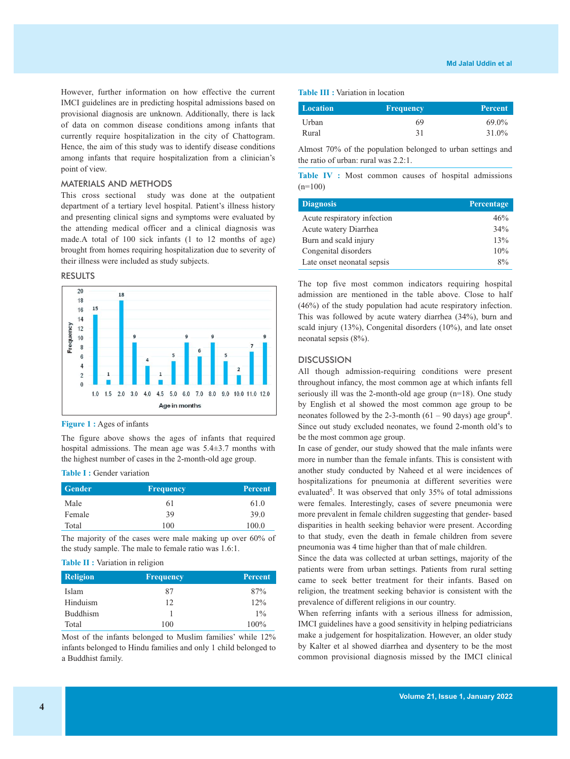However, further information on how effective the current IMCI guidelines are in predicting hospital admissions based on provisional diagnosis are unknown. Additionally, there is lack of data on common disease conditions among infants that currently require hospitalization in the city of Chattogram. Hence, the aim of this study was to identify disease conditions among infants that require hospitalization from a clinician's point of view.

### MATERIALS AND METHODS

This cross sectional study was done at the outpatient department of a tertiary level hospital. Patient's illness history and presenting clinical signs and symptoms were evaluated by the attending medical officer and a clinical diagnosis was made.A total of 100 sick infants (1 to 12 months of age) brought from homes requiring hospitalization due to severity of their illness were included as study subjects.

## RESULTS



#### **Figure 1 :** Ages of infants

The figure above shows the ages of infants that required hospital admissions. The mean age was 5.4±3.7 months with the highest number of cases in the 2-month-old age group.

#### **Table I :** Gender variation

| Gender | <b>Frequency</b> | <b>Percent</b> |
|--------|------------------|----------------|
| Male   | 61               | 61.0           |
| Female | 39               | 39.0           |
| Total  | 100              | 100.0          |

The majority of the cases were male making up over 60% of the study sample. The male to female ratio was 1.6:1.

#### **Table II :** Variation in religion

| <b>Religion</b> | <b>Frequency</b> | <b>Percent</b> |
|-----------------|------------------|----------------|
| Islam           | 87               | 87%            |
| Hinduism        | 12               | 12%            |
| <b>Buddhism</b> |                  | $1\%$          |
| Total           | 100              | 100%           |

Most of the infants belonged to Muslim families' while 12% infants belonged to Hindu families and only 1 child belonged to a Buddhist family.

#### **Table III :** Variation in location

| Location | <b>Frequency</b> | <b>Percent</b> |
|----------|------------------|----------------|
| Urban    | 69               | 69.0%          |
| Rural    | 31               | 31.0%          |

Almost 70% of the population belonged to urban settings and the ratio of urban: rural was 2.2:1.

**Table IV :** Most common causes of hospital admissions  $(n=100)$ 

| <b>Diagnosis</b>            | Percentage |
|-----------------------------|------------|
| Acute respiratory infection | 46%        |
| Acute watery Diarrhea       | 34%        |
| Burn and scald injury       | 13%        |
| Congenital disorders        | 10%        |
| Late onset neonatal sepsis  | $8\%$      |

The top five most common indicators requiring hospital admission are mentioned in the table above. Close to half (46%) of the study population had acute respiratory infection. This was followed by acute watery diarrhea (34%), burn and scald injury (13%), Congenital disorders (10%), and late onset neonatal sepsis (8%).

#### **DISCUSSION**

All though admission-requiring conditions were present throughout infancy, the most common age at which infants fell seriously ill was the 2-month-old age group (n=18). One study by English et al showed the most common age group to be neonates followed by the 2-3-month  $(61 - 90 \text{ days})$  age group<sup>4</sup>. Since out study excluded neonates, we found 2-month old's to be the most common age group.

In case of gender, our study showed that the male infants were more in number than the female infants. This is consistent with another study conducted by Naheed et al were incidences of hospitalizations for pneumonia at different severities were evaluated<sup>5</sup>. It was observed that only  $35\%$  of total admissions were females. Interestingly, cases of severe pneumonia were more prevalent in female children suggesting that gender- based disparities in health seeking behavior were present. According to that study, even the death in female children from severe pneumonia was 4 time higher than that of male children.

Since the data was collected at urban settings, majority of the patients were from urban settings. Patients from rural setting came to seek better treatment for their infants. Based on religion, the treatment seeking behavior is consistent with the prevalence of different religions in our country.

When referring infants with a serious illness for admission, IMCI guidelines have a good sensitivity in helping pediatricians make a judgement for hospitalization. However, an older study by Kalter et al showed diarrhea and dysentery to be the most common provisional diagnosis missed by the IMCI clinical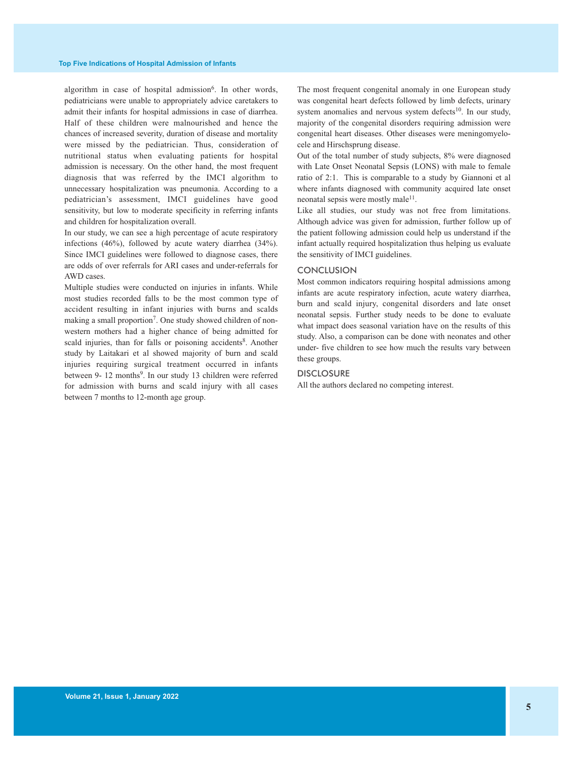algorithm in case of hospital admission<sup>6</sup>. In other words, pediatricians were unable to appropriately advice caretakers to admit their infants for hospital admissions in case of diarrhea. Half of these children were malnourished and hence the chances of increased severity, duration of disease and mortality were missed by the pediatrician. Thus, consideration of nutritional status when evaluating patients for hospital admission is necessary. On the other hand, the most frequent diagnosis that was referred by the IMCI algorithm to unnecessary hospitalization was pneumonia. According to a pediatrician's assessment, IMCI guidelines have good sensitivity, but low to moderate specificity in referring infants and children for hospitalization overall.

In our study, we can see a high percentage of acute respiratory infections (46%), followed by acute watery diarrhea (34%). Since IMCI guidelines were followed to diagnose cases, there are odds of over referrals for ARI cases and under-referrals for AWD cases.

Multiple studies were conducted on injuries in infants. While most studies recorded falls to be the most common type of accident resulting in infant injuries with burns and scalds making a small proportion<sup>7</sup>. One study showed children of nonwestern mothers had a higher chance of being admitted for scald injuries, than for falls or poisoning accidents<sup>8</sup>. Another study by Laitakari et al showed majority of burn and scald injuries requiring surgical treatment occurred in infants between 9- 12 months<sup>9</sup>. In our study 13 children were referred for admission with burns and scald injury with all cases between 7 months to 12-month age group.

The most frequent congenital anomaly in one European study was congenital heart defects followed by limb defects, urinary system anomalies and nervous system defects $10$ . In our study, majority of the congenital disorders requiring admission were congenital heart diseases. Other diseases were meningomyelocele and Hirschsprung disease.

Out of the total number of study subjects, 8% were diagnosed with Late Onset Neonatal Sepsis (LONS) with male to female ratio of 2:1. This is comparable to a study by Giannoni et al where infants diagnosed with community acquired late onset neonatal sepsis were mostly male<sup>11</sup>.

Like all studies, our study was not free from limitations. Although advice was given for admission, further follow up of the patient following admission could help us understand if the infant actually required hospitalization thus helping us evaluate the sensitivity of IMCI guidelines.

#### **CONCLUSION**

Most common indicators requiring hospital admissions among infants are acute respiratory infection, acute watery diarrhea, burn and scald injury, congenital disorders and late onset neonatal sepsis. Further study needs to be done to evaluate what impact does seasonal variation have on the results of this study. Also, a comparison can be done with neonates and other under- five children to see how much the results vary between these groups.

#### **DISCLOSURE**

All the authors declared no competing interest.